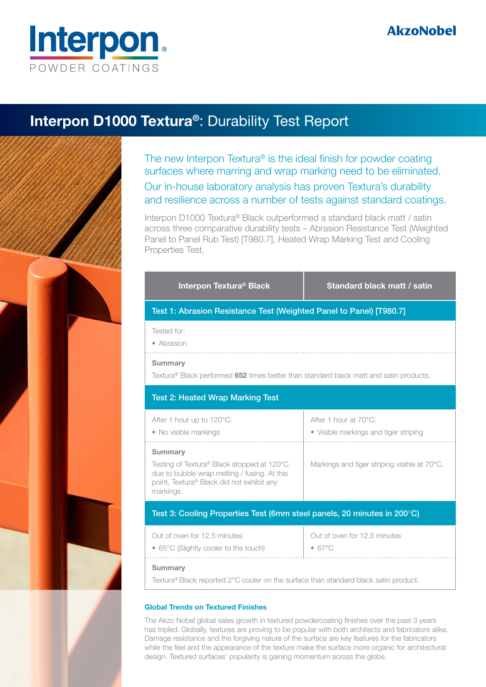

### **Interpon D1000 Textura®**: Durability Test Report

The new Interpon Textura® is the ideal finish for powder coating surfaces where marring and wrap marking need to be eliminated. Our in-house laboratory analysis has proven Textura's durability and resilience across a number of tests against standard coatings.

Interpon D1000 Textura® Black outperformed a standard black matt / satin across three comparative durability tests – Abrasion Resistance Test (Weighted Panel to Panel Rub Test) [T980.7], Heated Wrap Marking Test and Cooling Properties Test.

| Interpon Textura <sup>®</sup> Black                                                                                                                                    | Standard black matt / satin                                    |  |  |
|------------------------------------------------------------------------------------------------------------------------------------------------------------------------|----------------------------------------------------------------|--|--|
| Test 1: Abrasion Resistance Test (Weighted Panel to Panel) [T980.7]                                                                                                    |                                                                |  |  |
| Tested for:<br>• Abrasion                                                                                                                                              |                                                                |  |  |
| <b>Summary</b><br>Textura® Black performed 652 times better than standard black matt and satin products.                                                               |                                                                |  |  |
| <b>Test 2: Heated Wrap Marking Test</b>                                                                                                                                |                                                                |  |  |
| After 1 hour up to 120°C:<br>• No visible markings                                                                                                                     | After 1 hour at 70°C:<br>• Visible markings and tiger striping |  |  |
| <b>Summary</b><br>Testing of Textura® Black stopped at 120°C<br>due to bubble wrap melting / fusing. At this<br>point, Textura® Black did not exhibit any<br>markings. | Markings and tiger striping visible at 70°C.                   |  |  |
| Test 3: Cooling Properties Test (6mm steel panels, 20 minutes in 200°C)                                                                                                |                                                                |  |  |
| Out of oven for 12.5 minutes<br>• 65°C (Slightly cooler to the touch)                                                                                                  | Out of oven for 12.5 minutes<br>$-67^{\circ}$ C                |  |  |
| <b>Summary</b><br>Textura® Black reported 2°C cooler on the surface than standard black satin product.                                                                 |                                                                |  |  |

#### **Global Trends on Textured Finishes**

The Akzo Nobel global sales growth in textured powdercoating finishes over the past 3 years has tripled. Globally, textures are proving to be popular with both architects and fabricators alike. Damage resistance and the forgiving nature of the surface are key features for the fabricators while the feel and the appearance of the texture make the surface more organic for architectural design. Textured surfaces' popularity is gaining momentum across the globe.